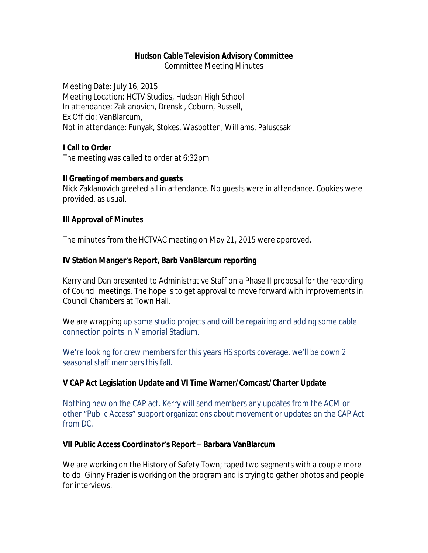#### **Hudson Cable Television Advisory Committee**

Committee Meeting Minutes

Meeting Date: July 16, 2015 Meeting Location: HCTV Studios, Hudson High School In attendance: Zaklanovich, Drenski, Coburn, Russell, Ex Officio: VanBlarcum, Not in attendance: Funyak, Stokes, Wasbotten, Williams, Paluscsak

#### **I Call to Order**

The meeting was called to order at 6:32pm

#### **II Greeting of members and guests**

Nick Zaklanovich greeted all in attendance. No guests were in attendance. Cookies were provided, as usual.

#### **III Approval of Minutes**

The minutes from the HCTVAC meeting on May 21, 2015 were approved.

### **IV Station Manger's Report, Barb VanBlarcum reporting**

Kerry and Dan presented to Administrative Staff on a Phase II proposal for the recording of Council meetings. The hope is to get approval to move forward with improvements in Council Chambers at Town Hall.

We are wrapping up some studio projects and will be repairing and adding some cable connection points in Memorial Stadium.

We're looking for crew members for this years HS sports coverage, we'll be down 2 seasonal staff members this fall.

### **V CAP Act Legislation Update and VI Time Warner/Comcast/Charter Update**

Nothing new on the CAP act. Kerry will send members any updates from the ACM or other "Public Access" support organizations about movement or updates on the CAP Act from DC.

### **VII Public Access Coordinator's Report – Barbara VanBlarcum**

We are working on the History of Safety Town; taped two segments with a couple more to do. Ginny Frazier is working on the program and is trying to gather photos and people for interviews.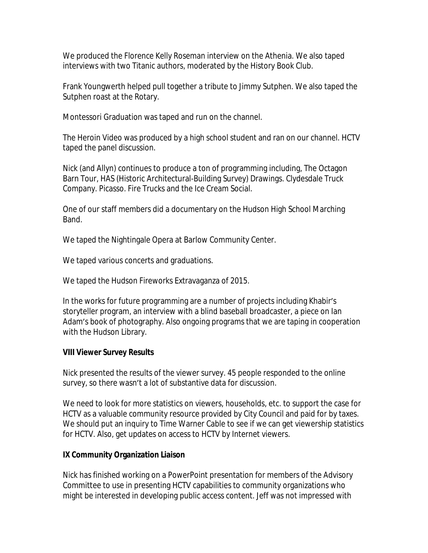We produced the Florence Kelly Roseman interview on the Athenia. We also taped interviews with two Titanic authors, moderated by the History Book Club.

Frank Youngwerth helped pull together a tribute to Jimmy Sutphen. We also taped the Sutphen roast at the Rotary.

Montessori Graduation was taped and run on the channel.

The Heroin Video was produced by a high school student and ran on our channel. HCTV taped the panel discussion.

Nick (and Allyn) continues to produce a ton of programming including, The Octagon Barn Tour, HAS (Historic Architectural-Building Survey) Drawings. Clydesdale Truck Company. Picasso. Fire Trucks and the Ice Cream Social.

One of our staff members did a documentary on the Hudson High School Marching Band.

We taped the Nightingale Opera at Barlow Community Center.

We taped various concerts and graduations.

We taped the Hudson Fireworks Extravaganza of 2015.

In the works for future programming are a number of projects including Khabir's storyteller program, an interview with a blind baseball broadcaster, a piece on Ian Adam's book of photography. Also ongoing programs that we are taping in cooperation with the Hudson Library.

### **VIII Viewer Survey Results**

Nick presented the results of the viewer survey. 45 people responded to the online survey, so there wasn't a lot of substantive data for discussion.

We need to look for more statistics on viewers, households, etc. to support the case for HCTV as a valuable community resource provided by City Council and paid for by taxes. We should put an inquiry to Time Warner Cable to see if we can get viewership statistics for HCTV. Also, get updates on access to HCTV by Internet viewers.

# **IX Community Organization Liaison**

Nick has finished working on a PowerPoint presentation for members of the Advisory Committee to use in presenting HCTV capabilities to community organizations who might be interested in developing public access content. Jeff was not impressed with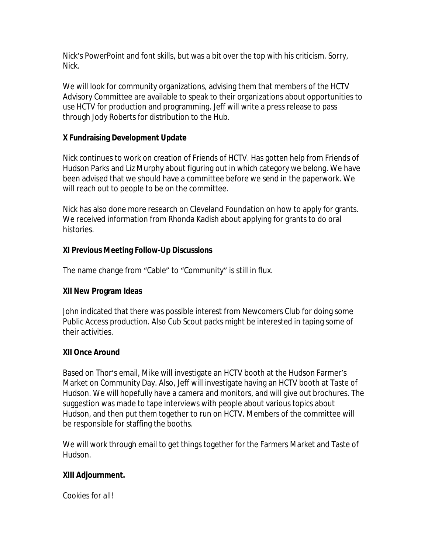Nick's PowerPoint and font skills, but was a bit over the top with his criticism. Sorry, Nick.

We will look for community organizations, advising them that members of the HCTV Advisory Committee are available to speak to their organizations about opportunities to use HCTV for production and programming. Jeff will write a press release to pass through Jody Roberts for distribution to the Hub.

# **X Fundraising Development Update**

Nick continues to work on creation of Friends of HCTV. Has gotten help from Friends of Hudson Parks and Liz Murphy about figuring out in which category we belong. We have been advised that we should have a committee before we send in the paperwork. We will reach out to people to be on the committee.

Nick has also done more research on Cleveland Foundation on how to apply for grants. We received information from Rhonda Kadish about applying for grants to do oral histories.

# **XI Previous Meeting Follow-Up Discussions**

The name change from "Cable" to "Community" is still in flux.

# **XII New Program Ideas**

John indicated that there was possible interest from Newcomers Club for doing some Public Access production. Also Cub Scout packs might be interested in taping some of their activities.

# **XII Once Around**

Based on Thor's email, Mike will investigate an HCTV booth at the Hudson Farmer's Market on Community Day. Also, Jeff will investigate having an HCTV booth at Taste of Hudson. We will hopefully have a camera and monitors, and will give out brochures. The suggestion was made to tape interviews with people about various topics about Hudson, and then put them together to run on HCTV. Members of the committee will be responsible for staffing the booths.

We will work through email to get things together for the Farmers Market and Taste of Hudson.

# **XIII Adjournment.**

Cookies for all!